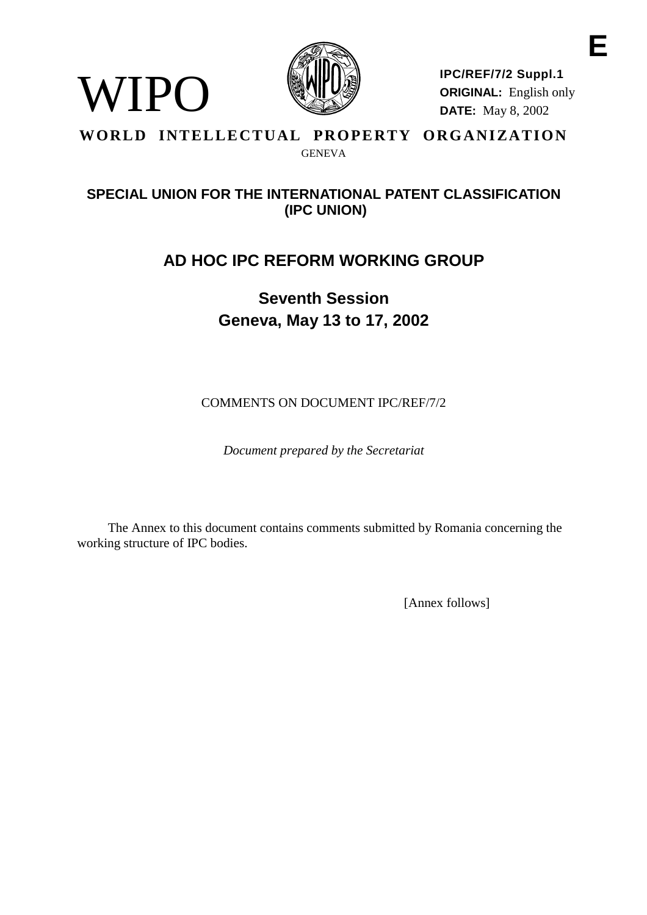

WIPO

**IPC/REF/7/2 Suppl.1 ORIGINAL:** English only **DATE:** May 8, 2002

**E**

### **WORLD INTELLECTUAL PROPERTY ORGANIZATION** GENEVA

### **SPECIAL UNION FOR THE INTERNATIONAL PATENT CLASSIFICATION (IPC UNION)**

# **AD HOC IPC REFORM WORKING GROUP**

# **Seventh Session Geneva, May 13 to 17, 2002**

COMMENTS ON DOCUMENT IPC/REF/7/2

*Document prepared by the Secretariat*

The Annex to this document contains comments submitted by Romania concerning the working structure of IPC bodies.

[Annex follows]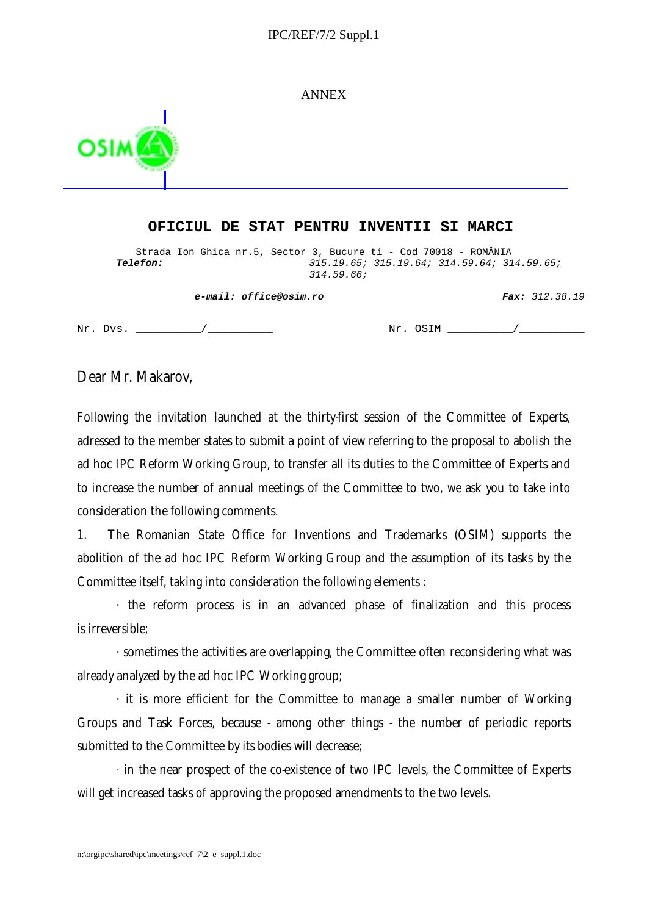#### IPC/REF/7/2 Suppl.1

ANNEX



#### **OFICIUL DE STAT PENTRU INVENTII SI MARCI**

Strada Ion Ghica nr.5, Sector 3, Bucure\_ti - Cod 70018 - ROMÂNIA<br>315.19.64; 314.59.64; 315.19.64; 314.59.64; 31 **Telefon:** 315.19.65; 315.19.64; 314.59.64; 314.59.65; 314.59.66;

**e-mail: office@osim.ro Fax:** 312.38.19

 $Nr. \text{Dvs.}$   $\qquad \qquad /$   $Nr. \text{OSIM}$   $\qquad \qquad /$ 

Dear Mr. Makarov,

Following the invitation launched at the thirty-first session of the Committee of Experts, adressed to the member states to submit a point of view referring to the proposal to abolish the ad hoc IPC Reform Working Group, to transfer all its duties to the Committee of Experts and to increase the number of annual meetings of the Committee to two, we ask you to take into consideration the following comments.

1. The Romanian State Office for Inventions and Trademarks (OSIM) supports the abolition of the ad hoc IPC Reform Working Group and the assumption of its tasks by the Committee itself, taking into consideration the following elements :

· the reform process is in an advanced phase of finalization and this process is irreversible;

· sometimes the activities are overlapping, the Committee often reconsidering what was already analyzed by the ad hoc IPC Working group;

· it is more efficient for the Committee to manage a smaller number of Working Groups and Task Forces, because - among other things - the number of periodic reports submitted to the Committee by its bodies will decrease;

· in the near prospect of the co-existence of two IPC levels, the Committee of Experts will get increased tasks of approving the proposed amendments to the two levels.